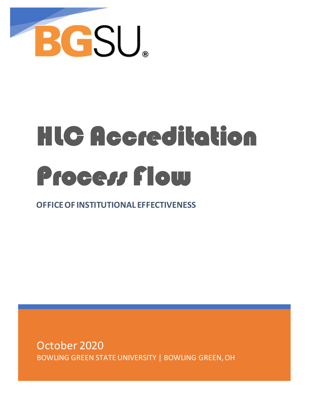

# HLC Accreditation Process Flow

**OFFICE OF INSTITUTIONAL EFFECTIVENESS**

October 2020 BOWLING GREEN STATE UNIVERSITY | BOWLING GREEN, OH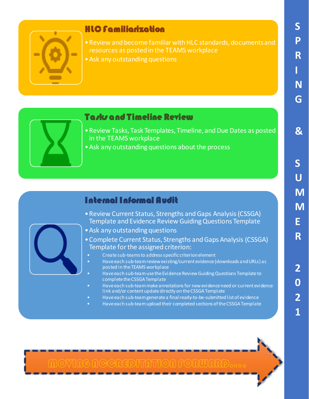

#### HLC Familiarization

- •Review and become familiar with HLC standards, documents and resources as posted in the TEAMS workplace
- •Ask any outstanding questions

#### **Tasks and Timeline Review**

- •Review Tasks, Task Templates, Timeline, and Due Dates as posted in the TEAMS workplace
- •Ask any outstanding questions about the process

#### Internal Informal Audit

- •Review Current Status, Strengths and Gaps Analysis (CSSGA) Template and Evidence Review Guiding Questions Template
- •Ask any outstanding questions
- •Complete Current Status, Strengths and Gaps Analysis (CSSGA) Template for the assigned criterion:
	- Create sub-teams to address specific criterion element
	- Have each sub-team review existing/current evidence (downloads and URLs) as posted in the TEAMS workplace
	- Have each sub-team use the Evidence Review Guiding Questions Template to complete the CSSGA Template
	- Have each sub-team make annotations for new evidence need or current evidence link and/or content update directly on the CSSGA Template
	- Have each sub-team generate a final ready-to-be-submitted list of evidence
	- Have each sub-team upload their completed sections of the CSSGA Template



**S**

**P**

**R**

**I**